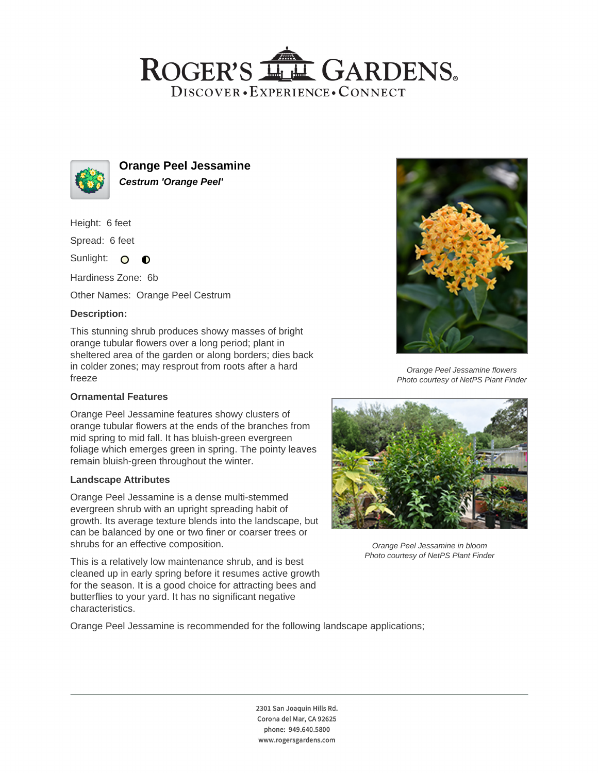## ROGER'S LL GARDENS. DISCOVER · EXPERIENCE · CONNECT



**Orange Peel Jessamine Cestrum 'Orange Peel'**

Height: 6 feet

Spread: 6 feet

Sunlight: O  $\bullet$ 

Hardiness Zone: 6b

Other Names: Orange Peel Cestrum

## **Description:**

This stunning shrub produces showy masses of bright orange tubular flowers over a long period; plant in sheltered area of the garden or along borders; dies back in colder zones; may resprout from roots after a hard freeze

## **Ornamental Features**

Orange Peel Jessamine features showy clusters of orange tubular flowers at the ends of the branches from mid spring to mid fall. It has bluish-green evergreen foliage which emerges green in spring. The pointy leaves remain bluish-green throughout the winter.

#### **Landscape Attributes**

Orange Peel Jessamine is a dense multi-stemmed evergreen shrub with an upright spreading habit of growth. Its average texture blends into the landscape, but can be balanced by one or two finer or coarser trees or shrubs for an effective composition.

This is a relatively low maintenance shrub, and is best cleaned up in early spring before it resumes active growth for the season. It is a good choice for attracting bees and butterflies to your yard. It has no significant negative characteristics.



Orange Peel Jessamine flowers Photo courtesy of NetPS Plant Finder



Orange Peel Jessamine in bloom Photo courtesy of NetPS Plant Finder

Orange Peel Jessamine is recommended for the following landscape applications;

2301 San Joaquin Hills Rd. Corona del Mar, CA 92625 phone: 949.640.5800 www.rogersgardens.com